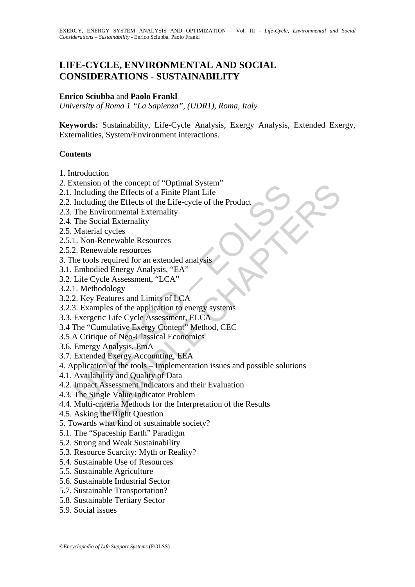# **LIFE-CYCLE, ENVIRONMENTAL AND SOCIAL CONSIDERATIONS - SUSTAINABILITY**

### **Enrico Sciubba** and **Paolo Frankl**

*University of Roma 1 "La Sapienza", (UDR1), Roma, Italy* 

**Keywords:** Sustainability, Life-Cycle Analysis, Exergy Analysis, Extended Exergy, Externalities, System/Environment interactions.

### **Contents**

- 1. Introduction
- 2. Extension of the concept of "Optimal System"
- 2.1. Including the Effects of a Finite Plant Life
- 2.2. Including the Effects of the Life-cycle of the Product
- 2.3. The Environmental Externality
- 2.4. The Social Externality
- 2.5. Material cycles
- 2.5.1. Non-Renewable Resources
- 2.5.2. Renewable resources
- 3. The tools required for an extended analysis
- 3.1. Embodied Energy Analysis, "EA"
- 3.2. Life Cycle Assessment, "LCA"
- 3.2.1. Methodology
- 3.2.2. Key Features and Limits of LCA
- 3.2.3. Examples of the application to energy systems
- 3.3. Exergetic Life Cycle Assessment, ELCA
- 3.4 The "Cumulative Exergy Content" Method, CEC
- 3.5 A Critique of Neo-Classical Economics
- 3.6. Emergy Analysis, EmA
- 3.7. Extended Exergy Accounting, EEA
- Xension of the concept of Optimal System<br>Including the Effects of a Finite Plane Life<br>Including the Effects of a Finite Plane Life<br>Including the Effects of the Life-Cycle of the Product<br>The Environmental Externality<br>The So n of the concept or Optimal system<br>
ing the Effects of a Finite Plant Life<br>
ing the Effects of a Finite Plant Life<br>
ing the Effects of the Life-cycle of the Product<br>
vivionmental Externality<br>
al cycles<br>
al cycles<br>
Renewabl 4. Application of the tools – Implementation issues and possible solutions
- 4.1. Availability and Quality of Data
- 4.2. Impact Assessment Indicators and their Evaluation
- 4.3. The Single Value Indicator Problem
- 4.4. Multi-criteria Methods for the Interpretation of the Results
- 4.5. Asking the Right Question
- 5. Towards what kind of sustainable society?
- 5.1. The "Spaceship Earth" Paradigm
- 5.2. Strong and Weak Sustainability
- 5.3. Resource Scarcity: Myth or Reality?
- 5.4. Sustainable Use of Resources
- 5.5. Sustainable Agriculture
- 5.6. Sustainable Industrial Sector
- 5.7. Sustainable Transportation?
- 5.8. Sustainable Tertiary Sector
- 5.9. Social issues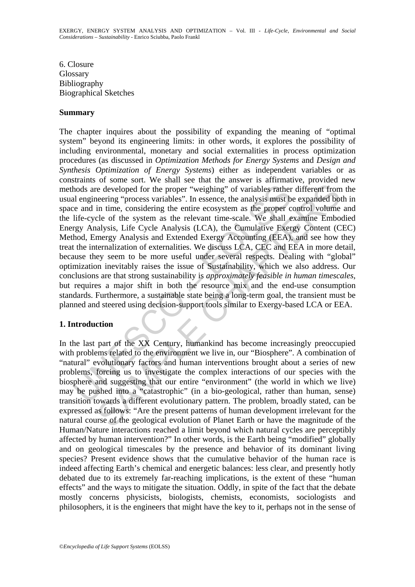6. Closure **Glossary** Bibliography Biographical Sketches

#### **Summary**

hods are developed for the proper "weighing" of variables rather<br>al engineering "process variables". In essence, the analysis must b<br>te and in time, considering the entire ecosystem as the proper c<br>life-cycle of the system e developed for the proper "weighing" of variables rather different from<br>eering "process variables". In essence, the analysis must be expanded bot<br>in time, considering the entire cocosystem as the proper control volume<br>cle The chapter inquires about the possibility of expanding the meaning of "optimal system" beyond its engineering limits: in other words, it explores the possibility of including environmental, monetary and social externalities in process optimization procedures (as discussed in *Optimization Methods for Energy Systems* and *Design and Synthesis Optimization of Energy Systems*) either as independent variables or as constraints of some sort. We shall see that the answer is affirmative, provided new methods are developed for the proper "weighing" of variables rather different from the usual engineering "process variables". In essence, the analysis must be expanded both in space and in time, considering the entire ecosystem as the proper control volume and the life-cycle of the system as the relevant time-scale. We shall examine Embodied Energy Analysis, Life Cycle Analysis (LCA), the Cumulative Exergy Content (CEC) Method, Emergy Analysis and Extended Exergy Accounting (EEA), and see how they treat the internalization of externalities. We discuss LCA, CEC and EEA in more detail, because they seem to be more useful under several respects. Dealing with "global" optimization inevitably raises the issue of Sustainability, which we also address. Our conclusions are that strong sustainability is *approximately feasible in human timescales*, but requires a major shift in both the resource mix and the end-use consumption standards. Furthermore, a sustainable state being a long-term goal, the transient must be planned and steered using decision-support tools similar to Exergy-based LCA or EEA.

## **1. Introduction**

In the last part of the XX Century, humankind has become increasingly preoccupied with problems related to the environment we live in, our "Biosphere". A combination of "natural" evolutionary factors and human interventions brought about a series of new problems, forcing us to investigate the complex interactions of our species with the biosphere and suggesting that our entire "environment" (the world in which we live) may be pushed into a "catastrophic" (in a bio-geological, rather than human, sense) transition towards a different evolutionary pattern. The problem, broadly stated, can be expressed as follows: "Are the present patterns of human development irrelevant for the natural course of the geological evolution of Planet Earth or have the magnitude of the Human/Nature interactions reached a limit beyond which natural cycles are perceptibly affected by human intervention?" In other words, is the Earth being "modified" globally and on geological timescales by the presence and behavior of its dominant living species? Present evidence shows that the cumulative behavior of the human race is indeed affecting Earth's chemical and energetic balances: less clear, and presently hotly debated due to its extremely far-reaching implications, is the extent of these "human effects" and the ways to mitigate the situation. Oddly, in spite of the fact that the debate mostly concerns physicists, biologists, chemists, economists, sociologists and philosophers, it is the engineers that might have the key to it, perhaps not in the sense of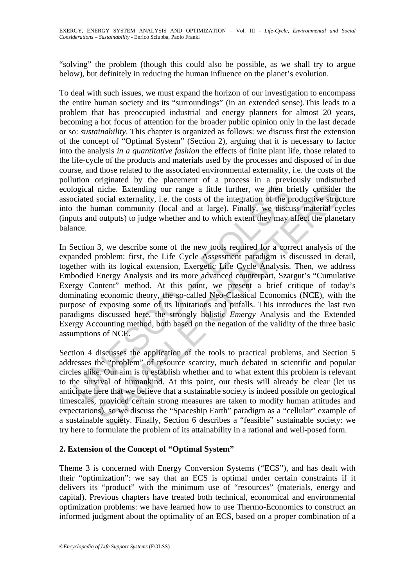"solving" the problem (though this could also be possible, as we shall try to argue below), but definitely in reducing the human influence on the planet's evolution.

To deal with such issues, we must expand the horizon of our investigation to encompass the entire human society and its "surroundings" (in an extended sense).This leads to a problem that has preoccupied industrial and energy planners for almost 20 years, becoming a hot focus of attention for the broader public opinion only in the last decade or so: *sustainability*. This chapter is organized as follows: we discuss first the extension of the concept of "Optimal System" (Section 2), arguing that it is necessary to factor into the analysis *in a quantitative fashion* the effects of finite plant life, those related to the life-cycle of the products and materials used by the processes and disposed of in due course, and those related to the associated environmental externality, i.e. the costs of the pollution originated by the placement of a process in a previously undisturbed ecological niche. Extending our range a little further, we then briefly consider the associated social externality, i.e. the costs of the integration of the productive structure into the human community (local and at large). Finally, we discuss material cycles (inputs and outputs) to judge whether and to which extent they may affect the planetary balance.

ogical niche. Extending our range a little further, we then brociated social externality, i.e. the costs of the integration of the p the human community (local and at large). Finally, we discutts and outputs) to judge whet miche. Extending our range a little further, we then briefly consider niche. Extending our range a little further, we then briefly consider social externality, i.e. the costs of the integration of the productive structura In Section 3, we describe some of the new tools required for a correct analysis of the expanded problem: first, the Life Cycle Assessment paradigm is discussed in detail, together with its logical extension, Exergetic Life Cycle Analysis. Then, we address Embodied Energy Analysis and its more advanced counterpart, Szargut's "Cumulative Exergy Content" method. At this point, we present a brief critique of today's dominating economic theory, the so-called Neo-Classical Economics (NCE), with the purpose of exposing some of its limitations and pitfalls. This introduces the last two paradigms discussed here, the strongly holistic *Emergy* Analysis and the Extended Exergy Accounting method, both based on the negation of the validity of the three basic assumptions of NCE.

Section 4 discusses the application of the tools to practical problems, and Section 5 addresses the "problem" of resource scarcity, much debated in scientific and popular circles alike. Our aim is to establish whether and to what extent this problem is relevant to the survival of humankind. At this point, our thesis will already be clear (let us anticipate here that we believe that a sustainable society is indeed possible on geological timescales, provided certain strong measures are taken to modify human attitudes and expectations), so we discuss the "Spaceship Earth" paradigm as a "cellular" example of a sustainable society. Finally, Section 6 describes a "feasible" sustainable society: we try here to formulate the problem of its attainability in a rational and well-posed form.

## **2. Extension of the Concept of "Optimal System"**

Theme 3 is concerned with Energy Conversion Systems ("ECS"), and has dealt with their "optimization": we say that an ECS is optimal under certain constraints if it delivers its "product" with the minimum use of "resources" (materials, energy and capital). Previous chapters have treated both technical, economical and environmental optimization problems: we have learned how to use Thermo-Economics to construct an informed judgment about the optimality of an ECS, based on a proper combination of a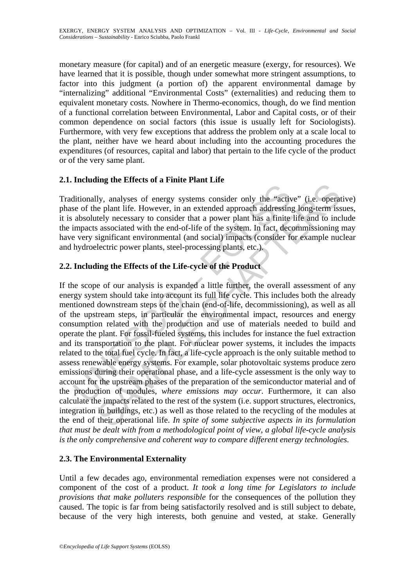monetary measure (for capital) and of an energetic measure (exergy, for resources). We have learned that it is possible, though under somewhat more stringent assumptions, to factor into this judgment (a portion of) the apparent environmental damage by "internalizing" additional "Environmental Costs" (externalities) and reducing them to equivalent monetary costs. Nowhere in Thermo-economics, though, do we find mention of a functional correlation between Environmental, Labor and Capital costs, or of their common dependence on social factors (this issue is usually left for Sociologists). Furthermore, with very few exceptions that address the problem only at a scale local to the plant, neither have we heard about including into the accounting procedures the expenditures (of resources, capital and labor) that pertain to the life cycle of the product or of the very same plant.

## **2.1. Including the Effects of a Finite Plant Life**

Traditionally, analyses of energy systems consider only the "active" (i.e. operative) phase of the plant life. However, in an extended approach addressing long-term issues, it is absolutely necessary to consider that a power plant has a finite life and to include the impacts associated with the end-of-life of the system. In fact, decommissioning may have very significant environmental (and social) impacts (consider for example nuclear and hydroelectric power plants, steel-processing plants, etc.).

## **2.2. Including the Effects of the Life-cycle of the Product**

ditionally, analyses of energy systems consider only the "active of the plant life. However, in an extended approach addressing absolutely necessary to consider that a power plant has a finite impacts associated with the e Ity, analyses of energy systems consider only the "active" (i.e. operated by the selabet life. However, in an extended approach addressing long-term is associated with the end-of-life of the system. In fact, decommissioni If the scope of our analysis is expanded a little further, the overall assessment of any energy system should take into account its full life cycle. This includes both the already mentioned downstream steps of the chain (end-of-life, decommissioning), as well as all of the upstream steps, in particular the environmental impact, resources and energy consumption related with the production and use of materials needed to build and operate the plant. For fossil-fueled systems, this includes for instance the fuel extraction and its transportation to the plant. For nuclear power systems, it includes the impacts related to the total fuel cycle. In fact, a life-cycle approach is the only suitable method to assess renewable energy systems. For example, solar photovoltaic systems produce zero emissions during their operational phase, and a life-cycle assessment is the only way to account for the upstream phases of the preparation of the semiconductor material and of the production of modules, *where emissions may occur*. Furthermore, it can also calculate the impacts related to the rest of the system (i.e. support structures, electronics, integration in buildings, etc.) as well as those related to the recycling of the modules at the end of their operational life. *In spite of some subjective aspects in its formulation that must be dealt with from a methodological point of view, a global life-cycle analysis is the only comprehensive and coherent way to compare different energy technologies.*

## **2.3. The Environmental Externality**

Until a few decades ago, environmental remediation expenses were not considered a component of the cost of a product. *It took a long time for Legislators to include provisions that make polluters responsible* for the consequences of the pollution they caused. The topic is far from being satisfactorily resolved and is still subject to debate, because of the very high interests, both genuine and vested, at stake. Generally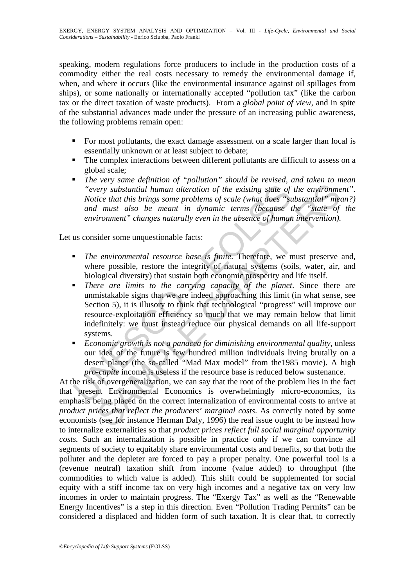speaking, modern regulations force producers to include in the production costs of a commodity either the real costs necessary to remedy the environmental damage if, when, and where it occurs (like the environmental insurance against oil spillages from ships), or some nationally or internationally accepted "pollution tax" (like the carbon tax or the direct taxation of waste products). From a *global point of view*, and in spite of the substantial advances made under the pressure of an increasing public awareness, the following problems remain open:

- For most pollutants, the exact damage assessment on a scale larger than local is essentially unknown or at least subject to debate;
- The complex interactions between different pollutants are difficult to assess on a global scale;
- *The very same definition of "pollution" should be revised, and taken to mean "every substantial human alteration of the existing state of the environment". Notice that this brings some problems of scale (what does "substantial" mean?) and must also be meant in dynamic terms (because the "state of the environment" changes naturally even in the absence of human intervention).*

Let us consider some unquestionable facts:

- *The environmental resource base is finite*. Therefore, we must preserve and, where possible, restore the integrity of natural systems (soils, water, air, and biological diversity) that sustain both economic prosperity and life itself.
- "
"
every substantial human alteration of the existing state of<br>
Notice that this brings some problems of scale (what does "st<br>
and must also be meant in dynamic terms (because t<br>
environment" changes naturally even in the ery substantial human alteration of the existing state of the environmetice that this brings some problems of scale (what does "substantial" med must also be meant in dynamic terms (because the "state of informent" changes *There are limits to the carrying capacity of the planet*. Since there are unmistakable signs that we are indeed approaching this limit (in what sense, see Section 5), it is illusory to think that technological "progress" will improve our resource-exploitation efficiency so much that we may remain below that limit indefinitely: we must instead reduce our physical demands on all life-support systems.
- *Economic growth is not a panacea for diminishing environmental quality*, unless our idea of the future is few hundred million individuals living brutally on a desert planet (the so-called "Mad Max model" from the1985 movie). A high *pro-capite* income is useless if the resource base is reduced below sustenance.

At the risk of overgeneralization, we can say that the root of the problem lies in the fact that present Environmental Economics is overwhelmingly micro-economics, its emphasis being placed on the correct internalization of environmental costs to arrive at *product prices that reflect the producers' marginal costs*. As correctly noted by some economists (see for instance Herman Daly, 1996) the real issue ought to be instead how to internalize externalities so that *product prices reflect full social marginal opportunity costs.* Such an internalization is possible in practice only if we can convince all segments of society to equitably share environmental costs and benefits, so that both the polluter and the depleter are forced to pay a proper penalty. One powerful tool is a (revenue neutral) taxation shift from income (value added) to throughput (the commodities to which value is added). This shift could be supplemented for social equity with a stiff income tax on very high incomes and a negative tax on very low incomes in order to maintain progress. The "Exergy Tax" as well as the "Renewable Energy Incentives" is a step in this direction. Even "Pollution Trading Permits" can be considered a displaced and hidden form of such taxation. It is clear that, to correctly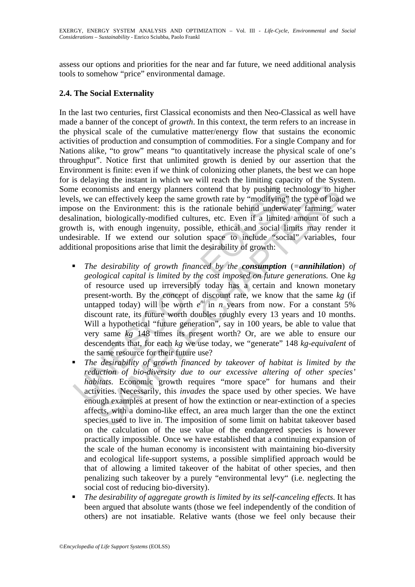assess our options and priorities for the near and far future, we need additional analysis tools to somehow "price" environmental damage.

### **2.4. The Social Externality**

In the last two centuries, first Classical economists and then Neo-Classical as well have made a banner of the concept of *growth*. In this context, the term refers to an increase in the physical scale of the cumulative matter/energy flow that sustains the economic activities of production and consumption of commodities. For a single Company and for Nations alike, "to grow" means "to quantitatively increase the physical scale of one's throughput". Notice first that unlimited growth is denied by our assertion that the Environment is finite: even if we think of colonizing other planets, the best we can hope for is delaying the instant in which we will reach the limiting capacity of the System. Some economists and energy planners contend that by pushing technology to higher levels, we can effectively keep the same growth rate by "modifying" the type of load we impose on the Environment: this is the rationale behind underwater farming, water desalination, biologically-modified cultures, etc. Even if a limited amount of such a growth is, with enough ingenuity, possible, ethical and social limits may render it undesirable. If we extend our solution space to include "social" variables, four additional propositions arise that limit the desirability of growth:

- is an energy planners contend that by pushing tections, the economists and energy planners contend that by "modifying" oses on the Environment: this is the rationale behind underward indication, biologically-modified cult nomists and energy planners contend that by pushing technology to his<br>lomists and energy planners contend that by pushing technology to his<br>can effectively keep the same growth rate by "modifying" the type of load<br>in the *The desirability of growth financed by the consumption* (*=annihilation*) *of geological capital is limited by the cost imposed on future generations.* One *kg* of resource used up irreversibly today has a certain and known monetary present-worth. By the concept of discount rate, we know that the same *kg* (if untapped today) will be worth  $e^{ni}$  in *n* years from now. For a constant 5% discount rate, its future worth doubles roughly every 13 years and 10 months. Will a hypothetical "future generation", say in 100 years, be able to value that very same *kg* 148 times its present worth? Or, are we able to ensure our descendents that, for each *kg* we use today, we "generate" 148 *kg-equivalent* of the same resource for their future use?
- *The desirability of growth financed by takeover of habitat is limited by the reduction of bio-diversity due to our excessive altering of other species' habitats.* Economic growth requires "more space" for humans and their activities. Necessarily, this *invades* the space used by other species. We have enough examples at present of how the extinction or near-extinction of a species affects, with a domino-like effect, an area much larger than the one the extinct species used to live in. The imposition of some limit on habitat takeover based on the calculation of the use value of the endangered species is however practically impossible. Once we have established that a continuing expansion of the scale of the human economy is inconsistent with maintaining bio-diversity and ecological life-support systems, a possible simplified approach would be that of allowing a limited takeover of the habitat of other species, and then penalizing such takeover by a purely "environmental levy" (i.e. neglecting the social cost of reducing bio-diversity).
- *The desirability of aggregate growth is limited by its self-canceling effects*. It has been argued that absolute wants (those we feel independently of the condition of others) are not insatiable. Relative wants (those we feel only because their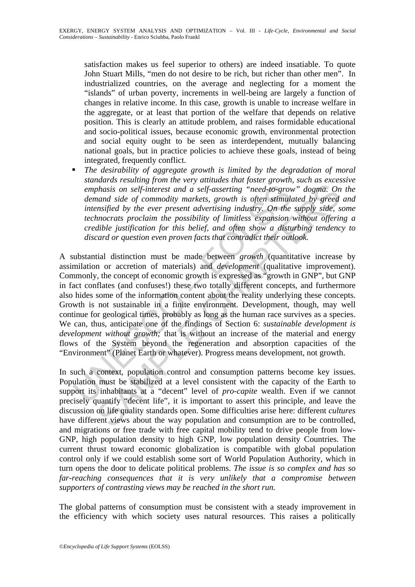satisfaction makes us feel superior to others) are indeed insatiable. To quote John Stuart Mills, "men do not desire to be rich, but richer than other men". In industrialized countries, on the average and neglecting for a moment the "islands" of urban poverty, increments in well-being are largely a function of changes in relative income. In this case, growth is unable to increase welfare in the aggregate, or at least that portion of the welfare that depends on relative position. This is clearly an attitude problem, and raises formidable educational and socio-political issues, because economic growth, environmental protection and social equity ought to be seen as interdependent, mutually balancing national goals, but in practice policies to achieve these goals, instead of being integrated, frequently conflict.

 *The desirability of aggregate growth is limited by the degradation of moral standards resulting from the very attitudes that foster growth, such as excessive emphasis on self-interest and a self-asserting "need-to-grow" dogma. On the demand side of commodity markets, growth is often stimulated by greed and intensified by the ever present advertising industry. On the supply side, some technocrats proclaim the possibility of limitless expansion without offering a credible justification for this belief, and often show a disturbing tendency to discard or question even proven facts that contradict their outlook.* 

emphasis on self-interest and a self-asserting "need-to-grov<br>demand side of commodity markets, growth is often stimula<br>intensified by the ever present advertising industry. On the<br>technocrats proclaim the possibility of l bhasis on self-interest and a self-asserting "need-to-grow" dogma. On<br>and side of commodity markets, growth is often stimulated by greed<br>morals ide of commodity markets, growth is often stimulated by greed<br>more ansifed by A substantial distinction must be made between *growth* (quantitative increase by assimilation or accretion of materials) and *development* (qualitative improvement). Commonly, the concept of economic growth is expressed as "growth in GNP", but GNP in fact conflates (and confuses!) these two totally different concepts, and furthermore also hides some of the information content about the reality underlying these concepts. Growth is not sustainable in a finite environment. Development, though, may well continue for geological times, probably as long as the human race survives as a species. We can, thus, anticipate one of the findings of Section 6: *sustainable development is development without growth;* that is without an increase of the material and energy flows of the System beyond the regeneration and absorption capacities of the "Environment" (Planet Earth or whatever). Progress means development, not growth.

In such a context, population control and consumption patterns become key issues. Population must be stabilized at a level consistent with the capacity of the Earth to support its inhabitants at a "decent" level of *pro-capite* wealth. Even if we cannot precisely quantify "decent life", it is important to assert this principle, and leave the discussion on life quality standards open. Some difficulties arise here: different *cultures* have different views about the way population and consumption are to be controlled, and migrations or free trade with free capital mobility tend to drive people from low-GNP, high population density to high GNP, low population density Countries. The current thrust toward economic globalization is compatible with global population control only if we could establish some sort of World Population Authority, which in turn opens the door to delicate political problems. *The issue is so complex and has so*  far-reaching consequences that it is very unlikely that a compromise between *supporters of contrasting views may be reached in the short run.* 

The global patterns of consumption must be consistent with a steady improvement in the efficiency with which society uses natural resources. This raises a politically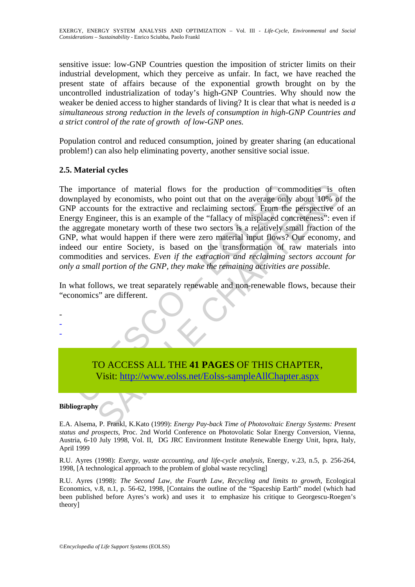sensitive issue: low-GNP Countries question the imposition of stricter limits on their industrial development, which they perceive as unfair. In fact, we have reached the present state of affairs because of the exponential growth brought on by the uncontrolled industrialization of today's high-GNP Countries. Why should now the weaker be denied access to higher standards of living? It is clear that what is needed is *a simultaneous strong reduction in the levels of consumption in high-GNP Countries and a strict control of the rate of growth of low-GNP ones.*

Population control and reduced consumption, joined by greater sharing (an educational problem!) can also help eliminating poverty, another sensitive social issue.

### **2.5. Material cycles**

importance of material flows for the production of com-<br>
implayed by economists, who point out that on the average only<br>
P accounts for the extractive and reclaiming sectors. From the<br>
regy Engineer, this is an example of rance of material flows for the production of commodities is of by economists, who point out that on the average only about 10% of the extractive and reclaiming sectors. From the perspective of eigence, this is an example The importance of material flows for the production of commodities is often downplayed by economists, who point out that on the average only about 10% of the GNP accounts for the extractive and reclaiming sectors. From the perspective of an Energy Engineer, this is an example of the "fallacy of misplaced concreteness": even if the aggregate monetary worth of these two sectors is a relatively small fraction of the GNP, what would happen if there were zero material input flows? Our economy, and indeed our entire Society, is based on the transformation of raw materials into commodities and services. *Even if the extraction and reclaiming sectors account for only a small portion of the GNP, they make the remaining activities are possible.*

In what follows, we treat separately renewable and non-renewable flows, because their "economics" are different.

> TO ACCESS ALL THE **41 PAGES** OF THIS CHAPTER, Visit: http://www.eolss.net/Eolss-sampleAllChapter.aspx

#### **Bibliography**

- - -

E.A. Alsema, P. Frankl, K.Kato (1999): *Energy Pay-back Time of Photovoltaic Energy Systems: Present status and prospects*, Proc. 2nd World Conference on Photovolatic Solar Energy Conversion, Vienna, Austria, 6-10 July 1998, Vol. II, DG JRC Environment Institute Renewable Energy Unit, Ispra, Italy, April 1999

R.U. Ayres (1998): *Exergy, waste accounting, and life-cycle analysis*, Energy, v.23, n.5, p. 256-264, 1998, [A technological approach to the problem of global waste recycling]

R.U. Ayres (1998): *The Second Law, the Fourth Law, Recycling and limits to growth*, Ecological Economics, v.8, n.1, p. 56-62, 1998, [Contains the outline of the "Spaceship Earth" model (which had been published before Ayres's work) and uses it to emphasize his critique to Georgescu-Roegen's theory]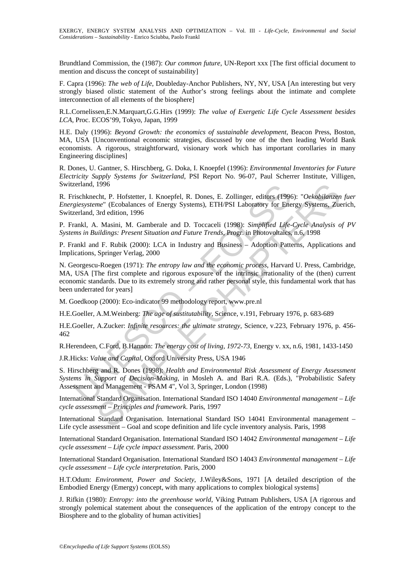Brundtland Commission, the (1987): *Our common future*, UN-Report xxx [The first official document to mention and discuss the concept of sustainability]

F. Capra (1996): *The web of Life*, Doubleday-Anchor Publishers, NY, NY, USA [An interesting but very strongly biased olistic statement of the Author's strong feelings about the intimate and complete interconnection of all elements of the biosphere]

R.L.Cornelissen,E.N.Marquart,G.G.Hirs (1999): *The value of Exergetic Life Cycle Assessment besides LCA*, Proc. ECOS'99, Tokyo, Japan, 1999

H.E. Daly (1996): *Beyond Growth: the economics of sustainable development*, Beacon Press, Boston, MA, USA [Unconventional economic strategies, discussed by one of the then leading World Bank economists. A rigorous, straightforward, visionary work which has important corollaries in many Engineering disciplines]

R. Dones, U. Gantner, S. Hirschberg, G. Doka, I. Knoepfel (1996): *Environmental Inventories for Future Electricity Supply Systems for Switzerland*, PSI Report No. 96-07, Paul Scherrer Institute, Villigen, Switzerland, 1996

R. Frischknecht, P. Hofstetter, I. Knoepfel, R. Dones, E. Zollinger, editors (1996): "*Oekobilanzen fuer Energiesysteme*" (Ecobalances of Energy Systems), ETH/PSI Laboratory for Energy Systems, Zuerich, Switzerland, 3rd edition, 1996

P. Frankl, A. Masini, M. Gamberale and D. Toccaceli (1998): *Simplified Life-Cycle Analysis of PV Systems in Buildings: Present Situation and Future Trends*, Progr. in Photovoltaics, n.6, 1998

P. Frankl and F. Rubik (2000): LCA in Industry and Business – Adoption Patterns, Applications and Implications, Springer Verlag, 2000

zerland, 1996<br>
rischknecht, P. Hofstetter, I. Knoepfel, R. Dones, E. Zollinger, editors (1996)<br>
giesysteme" (Ecobalances of Energy Systems), ETH/PSI Laboratory for Ene<br>
zerland, 3rd edition, 1996<br>
rankl, A. Masini, M. Gamb 1996<br>
The, P. Hofstetter, I. Knoepfel, R. Dones, E. Zollinger, editors (1996): "Oekobilanzene"<br>
CEObalances of Energy Systems), ETH/PSI Laboratory for Energy Systems, Zue<br>
The edition, 1996<br>
The edition, 1996<br>
The edition, N. Georgescu-Roegen (1971): *The entropy law and the economic process*, Harvard U. Press, Cambridge, MA, USA [The first complete and rigorous exposure of the intrinsic irrationality of the (then) current economic standards. Due to its extremely strong and rather personal style, this fundamental work that has been underrated for years]

M. Goedkoop (2000): Eco-indicator 99 methodology report, www.pre.nl

H.E.Goeller, A.M.Weinberg: *The age of sustitutability*, Science, v.191, February 1976, p. 683-689

H.E.Goeller, A.Zucker: *Infinite resources: the ultimate strategy*, Science, v.223, February 1976, p. 456- 462

R.Herendeen, C.Ford, B.Hannon: *The energy cost of living, 1972-73*, Energy v. xx, n.6, 1981, 1433-1450

J.R.Hicks: *Value and Capital*, Oxford University Press, USA 1946

S. Hirschberg and R. Dones (1998): *Health and Environmental Risk Assessment of Energy Assessment Systems in Support of Decision-Making*, in Mosleh A. and Bari R.A. (Eds.), "Probabilistic Safety Assessment and Management - PSAM 4", Vol 3, Springer, London (1998)

International Standard Organisation. International Standard ISO 14040 *Environmental management – Life cycle assessment – Principles and framework*. Paris, 1997

International Standard Organisation. International Standard ISO 14041 Environmental management – Life cycle assessment – Goal and scope definition and life cycle inventory analysis. Paris, 1998

International Standard Organisation. International Standard ISO 14042 *Environmental management – Life cycle assessment – Life cycle impact assessment*. Paris, 2000

International Standard Organisation. International Standard ISO 14043 *Environmental management – Life cycle assessment – Life cycle interpretation*. Paris, 2000

H.T.Odum: *Environment, Power and Society*, J.Wiley&Sons, 1971 [A detailed description of the Embodied Energy (Emergy) concept, with many applications to complex biological systems]

J. Rifkin (1980): *Entropy: into the greenhouse world*, Viking Putnam Publishers, USA [A rigorous and strongly polemical statement about the consequences of the application of the entropy concept to the Biosphere and to the globality of human activities]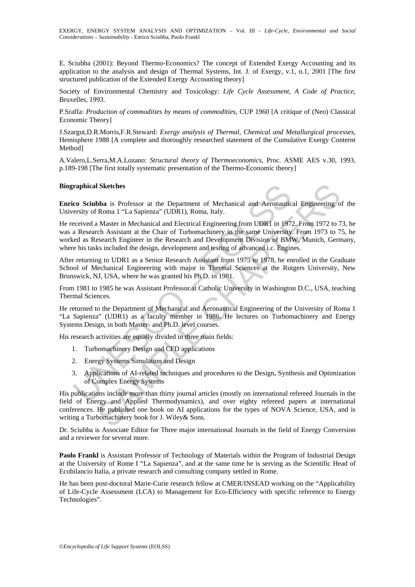E. Sciubba (2001): Beyond Thermo-Economics? The concept of Extended Exergy Accounting and its application to the analysis and design of Thermal Systems, Int. J. of Exergy, v.1, n.1, 2001 [The first structured publication of the Extended Exergy Accounting theory]

Society of Environmental Chemistry and Toxicology: *Life Cycle Assessment, A Code of Practice*, Bruxelles, 1993.

P.Sraffa: *Production of commodities by means of commodities*, CUP 1960 [A critique of (Neo) Classical Economic Theory]

J.Szargut,D.R.Morris,F.R.Steward: *Exergy analysis of Thermal, Chemical and Metallurgical processes*, Hemisphere 1988 [A complete and thoroughly researched statement of the Cumulative Exergy Conternt Method]

A.Valero,L.Serra,M.A.Lozano: *Structural theory of Thermoeconomics*, Proc. ASME AES v.30, 1993, p.189-198 [The first totally systematic presentation of the Thermo-Economic theory]

#### **Biographical Sketches**

**Enrico Sciubba** is Professor at the Department of Mechanical and Aeronautical Engineering of the University of Roma 1 "La Sapienza" (UDR1), Roma, Italy.

**raphical Sketches**<br> **co Sciubba** is Professor at the Department of Mechanical and Aeronautic<br>
rersity of Roma 1 "La Sapienza" (UDR1), Roma, Italy.<br>
accived a Master in Mechanical and Electrical Engineering from UDR1 in 19 **I Sketches**<br> **Show** is Professor at the Department of Mechanical and Aeronautical Emgineering on<br>
Roma 1 "La Sapienza" (UDR1), Roma, Italy.<br>
Master in Mechanical and Electrical Emgineering from UDRI in 1972. From 1972 to He received a Master in Mechanical and Electrical Engineering from UDR1 in 1972. From 1972 to 73, he was a Research Assistant at the Chair of Turbomachinery in the same University. From 1973 to 75, he worked as Research Engineer in the Research and Development Division of BMW, Munich, Germany, where his tasks included the design, development and testing of advanced i.c. Engines.

After returning to UDR1 as a Senior Research Assistant from 1975 to 1978, he enrolled in the Graduate School of Mechanical Engineering with major in Thermal Sciences at the Rutgers University, New Brunswick, NJ, USA, where he was granted his Ph.D. in 1981.

From 1981 to 1985 he was Assistant Professor at Catholic University in Washington D.C., USA, teaching Thermal Sciences.

He returned to the Department of Mechanical and Aeronautical Engineering of the University of Roma 1 "La Sapienza" (UDR1) as a faculty member in 1986. He lectures on Turbomachinery and Energy Systems Design, in both Master- and Ph.D. level courses.

His research activities are equally divided in three main fields:

- 1. Turbomachinery Design and CFD applications
- 2. Energy Systems Simulation and Design
- 3. Applications of AI-related techniques and procedures to the Design, Synthesis and Optimization of Complex Energy Systems

His publications include more than thirty journal articles (mostly on international refereed Journals in the field of Energy and Applied Thermodynamics), and over eighty refereed papers at international conferences. He published one book on AI applications for the types of NOVA Science, USA, and is writing a Turbomachinery book for J. Wiley& Sons.

Dr. Sciubba is Associate Editor for Three major international Journals in the field of Energy Conversion and a reviewer for several more.

**Paolo Frankl** is Assistant Professor of Technology of Materials within the Program of Industrial Design at the University of Rome I "La Sapienza", and at the same time he is serving as the Scientific Head of Ecobilancio Italia, a private research and consulting company settled in Rome.

He has been post-doctoral Marie-Curie research fellow at CMER/INSEAD working on the "Applicability of Life-Cycle Assessment (LCA) to Management for Eco-Efficiency with specific reference to Energy Technologies".